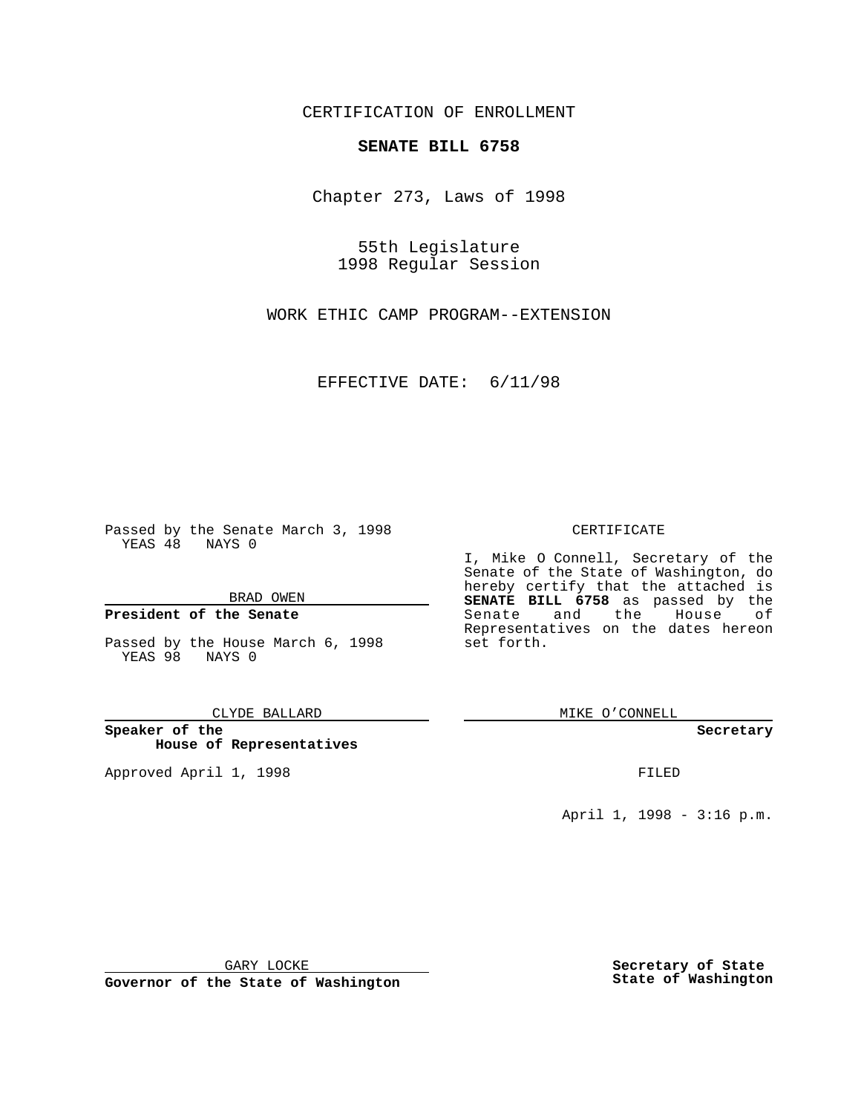CERTIFICATION OF ENROLLMENT

## **SENATE BILL 6758**

Chapter 273, Laws of 1998

55th Legislature 1998 Regular Session

WORK ETHIC CAMP PROGRAM--EXTENSION

EFFECTIVE DATE: 6/11/98

Passed by the Senate March 3, 1998 YEAS 48 NAYS 0

BRAD OWEN

### **President of the Senate**

Passed by the House March 6, 1998 YEAS 98 NAYS 0

CLYDE BALLARD

**Speaker of the House of Representatives**

Approved April 1, 1998 **FILED** 

#### CERTIFICATE

I, Mike O Connell, Secretary of the Senate of the State of Washington, do hereby certify that the attached is **SENATE BILL 6758** as passed by the Senate and the House of Representatives on the dates hereon set forth.

MIKE O'CONNELL

#### **Secretary**

April 1, 1998 - 3:16 p.m.

GARY LOCKE

**Governor of the State of Washington**

**Secretary of State State of Washington**